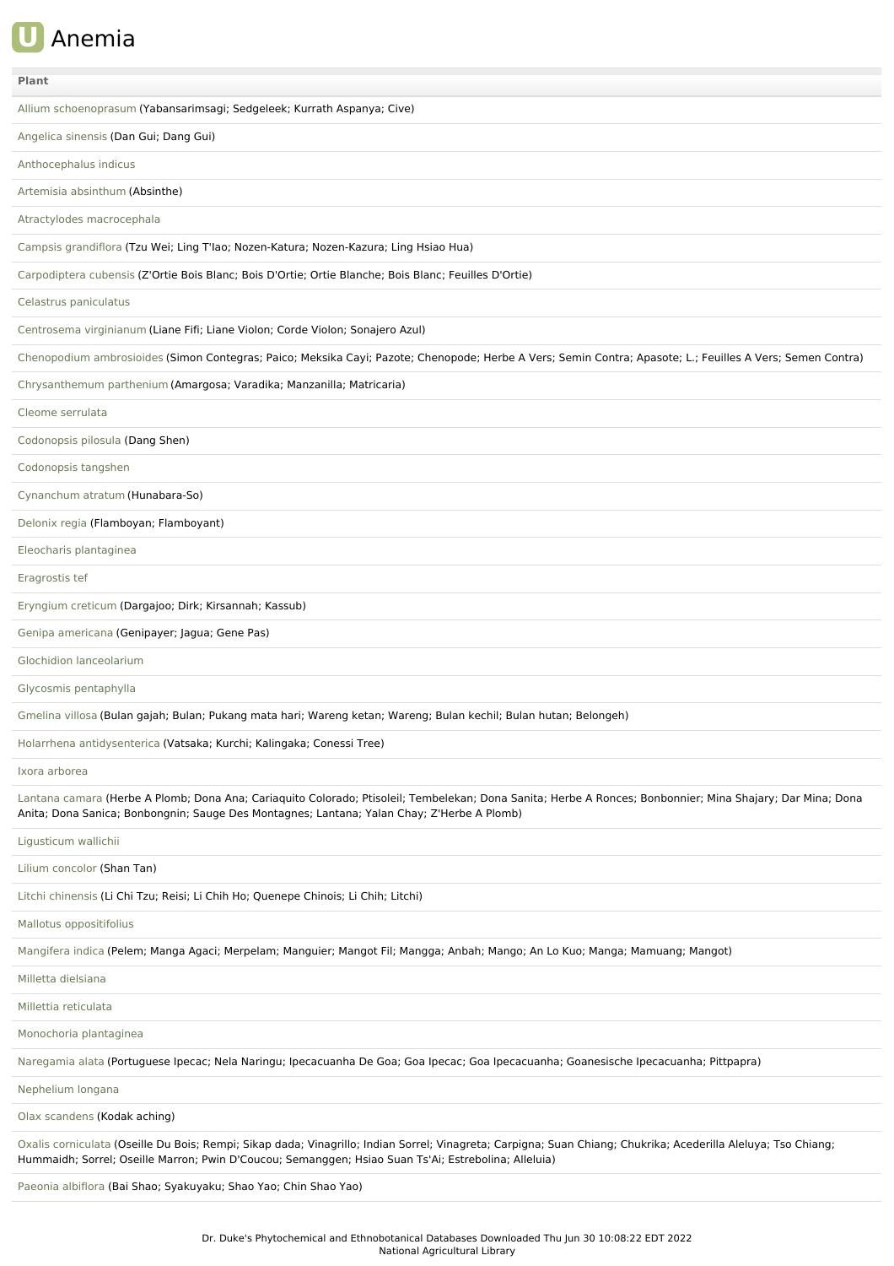## **U** Anemia

| Plant                                                                                                                                                                                                                                                                  |
|------------------------------------------------------------------------------------------------------------------------------------------------------------------------------------------------------------------------------------------------------------------------|
| Allium schoenoprasum (Yabansarimsagi; Sedgeleek; Kurrath Aspanya; Cive)                                                                                                                                                                                                |
| Angelica sinensis (Dan Gui; Dang Gui)                                                                                                                                                                                                                                  |
| Anthocephalus indicus                                                                                                                                                                                                                                                  |
| Artemisia absinthum (Absinthe)                                                                                                                                                                                                                                         |
| Atractylodes macrocephala                                                                                                                                                                                                                                              |
| Campsis grandiflora (Tzu Wei; Ling T'lao; Nozen-Katura; Nozen-Kazura; Ling Hsiao Hua)                                                                                                                                                                                  |
| Carpodiptera cubensis (Z'Ortie Bois Blanc; Bois D'Ortie; Ortie Blanche; Bois Blanc; Feuilles D'Ortie)                                                                                                                                                                  |
| Celastrus paniculatus                                                                                                                                                                                                                                                  |
| Centrosema virginianum (Liane Fifi; Liane Violon; Corde Violon; Sonajero Azul)                                                                                                                                                                                         |
| Chenopodium ambrosioides (Simon Contegras; Paico; Meksika Cayi; Pazote; Chenopode; Herbe A Vers; Semin Contra; Apasote; L.; Feuilles A Vers; Semen Contra)                                                                                                             |
| Chrysanthemum parthenium (Amargosa; Varadika; Manzanilla; Matricaria)                                                                                                                                                                                                  |
| Cleome serrulata                                                                                                                                                                                                                                                       |
| Codonopsis pilosula (Dang Shen)                                                                                                                                                                                                                                        |
| Codonopsis tangshen                                                                                                                                                                                                                                                    |
| Cynanchum atratum (Hunabara-So)                                                                                                                                                                                                                                        |
| Delonix regia (Flamboyan; Flamboyant)                                                                                                                                                                                                                                  |
| Eleocharis plantaginea                                                                                                                                                                                                                                                 |
| Eragrostis tef                                                                                                                                                                                                                                                         |
| Eryngium creticum (Dargajoo; Dirk; Kirsannah; Kassub)                                                                                                                                                                                                                  |
| Genipa americana (Genipayer; Jagua; Gene Pas)                                                                                                                                                                                                                          |
| Glochidion lanceolarium                                                                                                                                                                                                                                                |
| Glycosmis pentaphylla                                                                                                                                                                                                                                                  |
| Gmelina villosa (Bulan gajah; Bulan; Pukang mata hari; Wareng ketan; Wareng; Bulan kechil; Bulan hutan; Belongeh)                                                                                                                                                      |
| Holarrhena antidysenterica (Vatsaka; Kurchi; Kalingaka; Conessi Tree)                                                                                                                                                                                                  |
| Ixora arborea                                                                                                                                                                                                                                                          |
| Lantana camara (Herbe A Plomb; Dona Ana; Cariaquito Colorado; Ptisoleil; Tembelekan; Dona Sanita; Herbe A Ronces; Bonbonnier; Mina Shajary; Dar Mina; Dona<br>Anita; Dona Sanica; Bonbongnin; Sauge Des Montagnes; Lantana; Yalan Chay; Z'Herbe A Plomb)               |
| Ligusticum wallichii                                                                                                                                                                                                                                                   |
| Lilium concolor (Shan Tan)                                                                                                                                                                                                                                             |
| Litchi chinensis (Li Chi Tzu; Reisi; Li Chih Ho; Quenepe Chinois; Li Chih; Litchi)                                                                                                                                                                                     |
| Mallotus oppositifolius                                                                                                                                                                                                                                                |
| Mangifera indica (Pelem; Manga Agaci; Merpelam; Manguier; Mangot Fil; Mangga; Anbah; Mango; An Lo Kuo; Manga; Mamuang; Mangot)                                                                                                                                         |
| Milletta dielsiana                                                                                                                                                                                                                                                     |
| Millettia reticulata                                                                                                                                                                                                                                                   |
| Monochoria plantaginea                                                                                                                                                                                                                                                 |
| Naregamia alata (Portuguese Ipecac; Nela Naringu; Ipecacuanha De Goa; Goa Ipecac; Goa Ipecacuanha; Goanesische Ipecacuanha; Pittpapra)                                                                                                                                 |
| Nephelium longana                                                                                                                                                                                                                                                      |
| Olax scandens (Kodak aching)                                                                                                                                                                                                                                           |
| Oxalis corniculata (Oseille Du Bois; Rempi; Sikap dada; Vinagrillo; Indian Sorrel; Vinagreta; Carpigna; Suan Chiang; Chukrika; Acederilla Aleluya; Tso Chiang;<br>Hummaidh; Sorrel; Oseille Marron; Pwin D'Coucou; Semanggen; Hsiao Suan Ts'Ai; Estrebolina; Alleluia) |
| Paeonia albiflora (Bai Shao; Syakuyaku; Shao Yao; Chin Shao Yao)                                                                                                                                                                                                       |